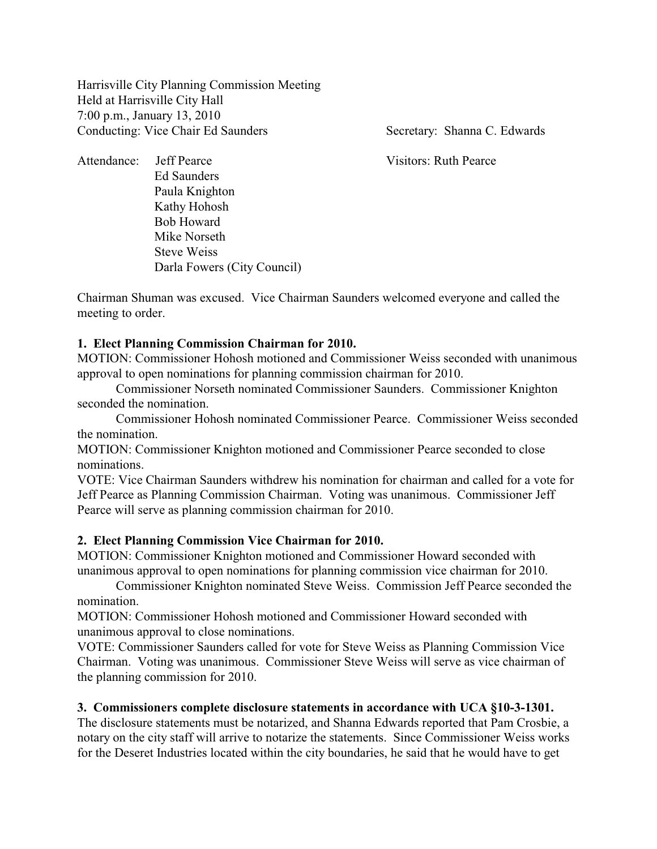Harrisville City Planning Commission Meeting Held at Harrisville City Hall 7:00 p.m., January 13, 2010 Conducting: Vice Chair Ed Saunders Secretary: Shanna C. Edwards

Attendance: Jeff Pearce Visitors: Ruth Pearce Ed Saunders Paula Knighton Kathy Hohosh Bob Howard Mike Norseth Steve Weiss Darla Fowers (City Council)

Chairman Shuman was excused. Vice Chairman Saunders welcomed everyone and called the meeting to order.

## **1. Elect Planning Commission Chairman for 2010.**

MOTION: Commissioner Hohosh motioned and Commissioner Weiss seconded with unanimous approval to open nominations for planning commission chairman for 2010.

Commissioner Norseth nominated Commissioner Saunders. Commissioner Knighton seconded the nomination.

Commissioner Hohosh nominated Commissioner Pearce. Commissioner Weiss seconded the nomination.

MOTION: Commissioner Knighton motioned and Commissioner Pearce seconded to close nominations.

VOTE: Vice Chairman Saunders withdrew his nomination for chairman and called for a vote for Jeff Pearce as Planning Commission Chairman. Voting was unanimous. Commissioner Jeff Pearce will serve as planning commission chairman for 2010.

### **2. Elect Planning Commission Vice Chairman for 2010.**

MOTION: Commissioner Knighton motioned and Commissioner Howard seconded with unanimous approval to open nominations for planning commission vice chairman for 2010.

Commissioner Knighton nominated Steve Weiss. Commission Jeff Pearce seconded the nomination.

MOTION: Commissioner Hohosh motioned and Commissioner Howard seconded with unanimous approval to close nominations.

VOTE: Commissioner Saunders called for vote for Steve Weiss as Planning Commission Vice Chairman. Voting was unanimous. Commissioner Steve Weiss will serve as vice chairman of the planning commission for 2010.

# **3. Commissioners complete disclosure statements in accordance with UCA §10-3-1301.**

The disclosure statements must be notarized, and Shanna Edwards reported that Pam Crosbie, a notary on the city staff will arrive to notarize the statements. Since Commissioner Weiss works for the Deseret Industries located within the city boundaries, he said that he would have to get